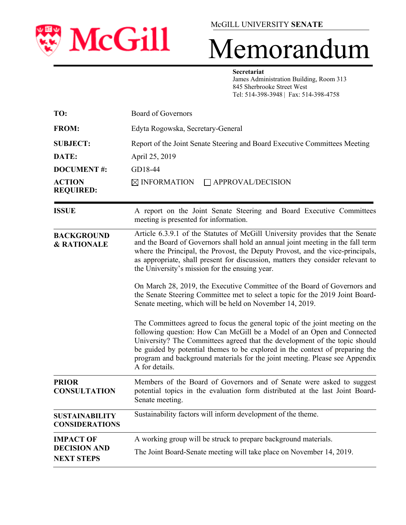

## McGILL UNIVERSITY **SENATE**

# Memorandum

#### **Secretariat**

 James Administration Building, Room 313 845 Sherbrooke Street West Tel: 514-398-3948 | Fax: 514-398-4758

| TO:                                            | Board of Governors                                                                                                                                                                                                                                                                                                                                                                                                    |
|------------------------------------------------|-----------------------------------------------------------------------------------------------------------------------------------------------------------------------------------------------------------------------------------------------------------------------------------------------------------------------------------------------------------------------------------------------------------------------|
| <b>FROM:</b>                                   | Edyta Rogowska, Secretary-General                                                                                                                                                                                                                                                                                                                                                                                     |
| <b>SUBJECT:</b>                                | Report of the Joint Senate Steering and Board Executive Committees Meeting                                                                                                                                                                                                                                                                                                                                            |
| DATE:                                          | April 25, 2019                                                                                                                                                                                                                                                                                                                                                                                                        |
| <b>DOCUMENT#:</b>                              | GD18-44                                                                                                                                                                                                                                                                                                                                                                                                               |
| <b>ACTION</b><br><b>REQUIRED:</b>              | $\boxtimes$ INFORMATION<br>$\Box$ APPROVAL/DECISION                                                                                                                                                                                                                                                                                                                                                                   |
| <b>ISSUE</b>                                   | A report on the Joint Senate Steering and Board Executive Committees<br>meeting is presented for information.                                                                                                                                                                                                                                                                                                         |
| <b>BACKGROUND</b><br>& RATIONALE               | Article 6.3.9.1 of the Statutes of McGill University provides that the Senate<br>and the Board of Governors shall hold an annual joint meeting in the fall term<br>where the Principal, the Provost, the Deputy Provost, and the vice-principals,<br>as appropriate, shall present for discussion, matters they consider relevant to<br>the University's mission for the ensuing year.                                |
|                                                | On March 28, 2019, the Executive Committee of the Board of Governors and<br>the Senate Steering Committee met to select a topic for the 2019 Joint Board-<br>Senate meeting, which will be held on November 14, 2019.                                                                                                                                                                                                 |
|                                                | The Committees agreed to focus the general topic of the joint meeting on the<br>following question: How Can McGill be a Model of an Open and Connected<br>University? The Committees agreed that the development of the topic should<br>be guided by potential themes to be explored in the context of preparing the<br>program and background materials for the joint meeting. Please see Appendix<br>A for details. |
| <b>PRIOR</b><br><b>CONSULTATION</b>            | Members of the Board of Governors and of Senate were asked to suggest<br>potential topics in the evaluation form distributed at the last Joint Board-<br>Senate meeting.                                                                                                                                                                                                                                              |
| <b>SUSTAINABILITY</b><br><b>CONSIDERATIONS</b> | Sustainability factors will inform development of the theme.                                                                                                                                                                                                                                                                                                                                                          |
| <b>IMPACT OF</b>                               | A working group will be struck to prepare background materials.                                                                                                                                                                                                                                                                                                                                                       |
| <b>DECISION AND</b><br><b>NEXT STEPS</b>       | The Joint Board-Senate meeting will take place on November 14, 2019.                                                                                                                                                                                                                                                                                                                                                  |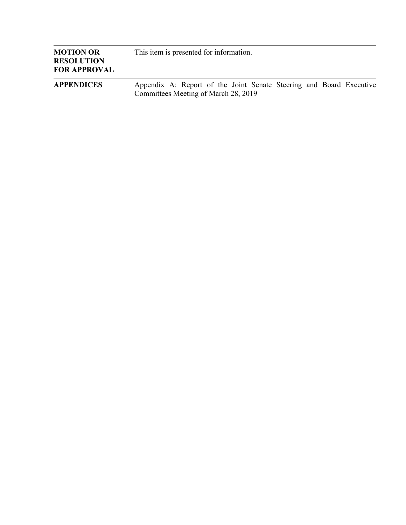| <b>MOTION OR</b><br><b>RESOLUTION</b><br><b>FOR APPROVAL</b> | This item is presented for information.                                                                     |
|--------------------------------------------------------------|-------------------------------------------------------------------------------------------------------------|
| <b>APPENDICES</b>                                            | Appendix A: Report of the Joint Senate Steering and Board Executive<br>Committees Meeting of March 28, 2019 |